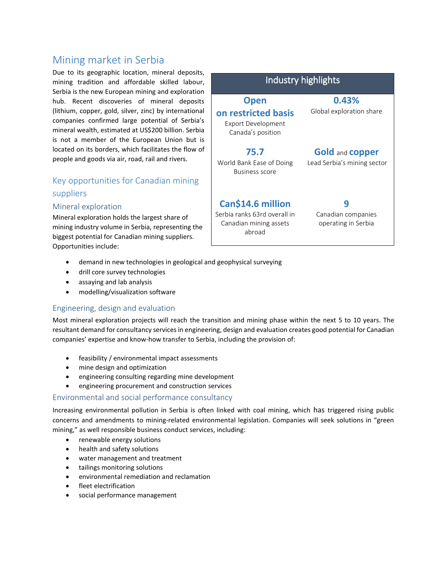# Mining market in Serbia

Due to its geographic location, mineral deposits, mining tradition and affordable skilled labour, Serbia is the new European mining and exploration hub. Recent discoveries of mineral deposits (lithium, copper, gold, silver, zinc) by international companies confirmed large potential of Serbia's mineral wealth, estimated at US\$200 billion. Serbia is not a member of the European Union but is located on its borders, which facilitates the flow of people and goods via air, road, rail and rivers.

# Key opportunities for Canadian mining suppliers

#### Mineral exploration

Mineral exploration holds the largest share of mining industry volume in Serbia, representing the biggest potential for Canadian mining suppliers. Opportunities include:



- demand in new technologies in geological and geophysical surveying
- drill core survey technologies
- assaying and lab analysis
- modelling/visualization software

### Engineering, design and evaluation

Most mineral exploration projects will reach the transition and mining phase within the next 5 to 10 years. The resultant demand for consultancy services in engineering, design and evaluation creates good potential for Canadian companies' expertise and know-how transfer to Serbia, including the provision of:

- feasibility / environmental impact assessments
- mine design and optimization
- engineering consulting regarding mine development
- engineering procurement and construction services

#### Environmental and social performance consultancy

Increasing environmental pollution in Serbia is often linked with coal mining, which has triggered rising public concerns and amendments to mining-related environmental legislation. Companies will seek solutions in "green mining," as well responsible business conduct services, including:

- renewable energy solutions
- health and safety solutions
- water management and treatment
- tailings monitoring solutions
- environmental remediation and reclamation
- fleet electrification
- social performance management